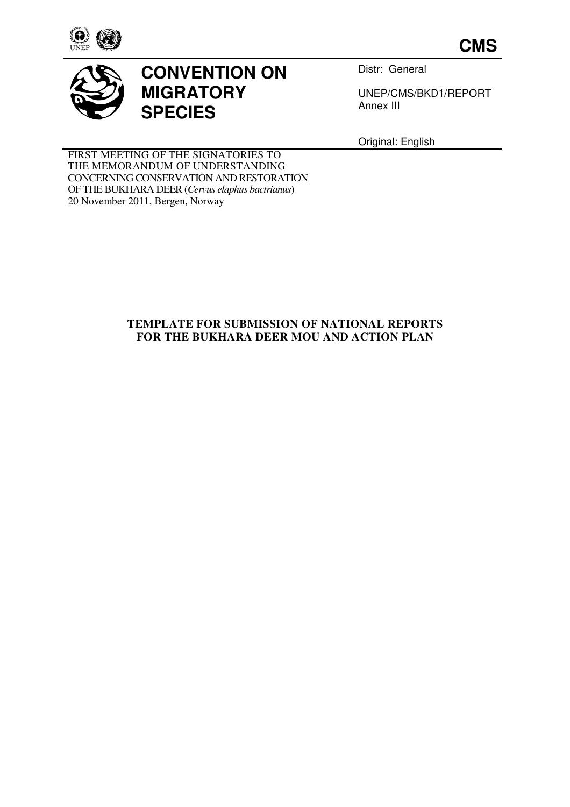

**CMS**



# **CONVENTION ON MIGRATORY SPECIES**

Distr: General

UNEP/CMS/BKD1/REPORT Annex III

Original: English

FIRST MEETING OF THE SIGNATORIES TO THE MEMORANDUM OF UNDERSTANDING CONCERNING CONSERVATION AND RESTORATION OF THE BUKHARA DEER (*Cervus elaphus bactrianus*) 20 November 2011, Bergen, Norway

# **TEMPLATE FOR SUBMISSION OF NATIONAL REPORTS FOR THE BUKHARA DEER MOU AND ACTION PLAN**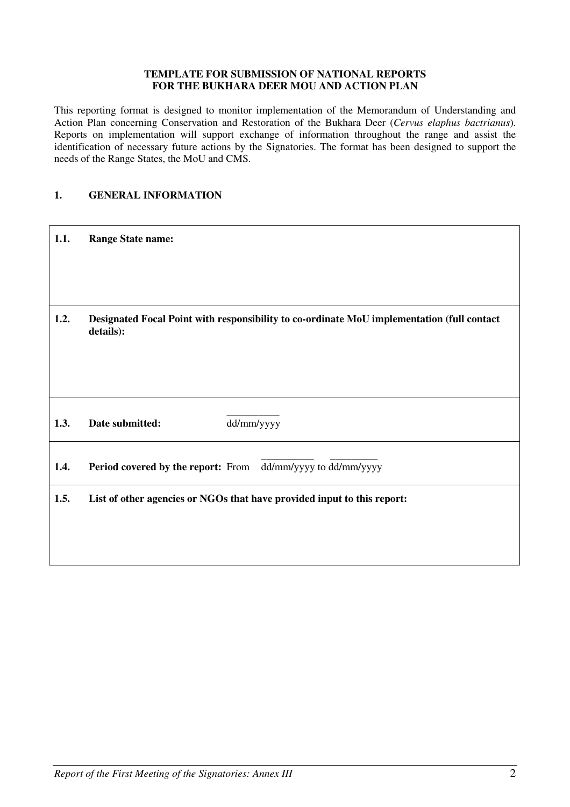#### **TEMPLATE FOR SUBMISSION OF NATIONAL REPORTS FOR THE BUKHARA DEER MOU AND ACTION PLAN**

This reporting format is designed to monitor implementation of the Memorandum of Understanding and Action Plan concerning Conservation and Restoration of the Bukhara Deer (*Cervus elaphus bactrianus*). Reports on implementation will support exchange of information throughout the range and assist the identification of necessary future actions by the Signatories. The format has been designed to support the needs of the Range States, the MoU and CMS.

## **1. GENERAL INFORMATION**

| 1.1. | <b>Range State name:</b>                                                                                |
|------|---------------------------------------------------------------------------------------------------------|
| 1.2. | Designated Focal Point with responsibility to co-ordinate MoU implementation (full contact<br>details): |
| 1.3. | dd/mm/yyyy<br>Date submitted:                                                                           |
| 1.4. | Period covered by the report: From dd/mm/yyyy to dd/mm/yyyy                                             |
| 1.5. | List of other agencies or NGOs that have provided input to this report:                                 |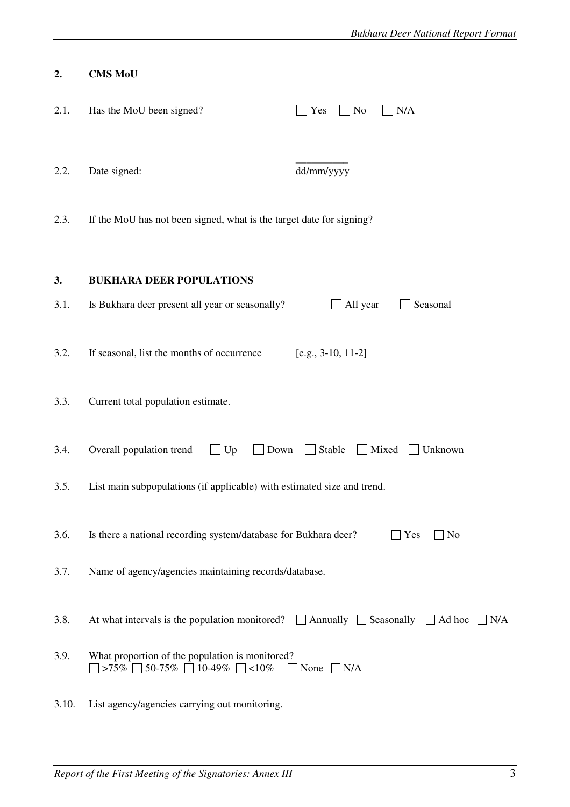| 2.    | <b>CMS MoU</b>                                                                                         |                                   |
|-------|--------------------------------------------------------------------------------------------------------|-----------------------------------|
| 2.1.  | Has the MoU been signed?                                                                               | N/A<br>Yes<br>$\blacksquare$ No   |
| 2.2.  | Date signed:                                                                                           | dd/mm/yyyy                        |
| 2.3.  | If the MoU has not been signed, what is the target date for signing?                                   |                                   |
| 3.    | <b>BUKHARA DEER POPULATIONS</b>                                                                        |                                   |
| 3.1.  | Is Bukhara deer present all year or seasonally?                                                        | All year<br>Seasonal              |
| 3.2.  | If seasonal, list the months of occurrence                                                             | $[e.g., 3-10, 11-2]$              |
| 3.3.  | Current total population estimate.                                                                     |                                   |
| 3.4.  | Overall population trend<br>Up<br>Down                                                                 | $\Box$ Stable<br>Mixed<br>Unknown |
| 3.5.  | List main subpopulations (if applicable) with estimated size and trend.                                |                                   |
| 3.6.  | Is there a national recording system/database for Bukhara deer?                                        | $\Box$ Yes<br>$\Box$ No           |
| 3.7.  | Name of agency/agencies maintaining records/database.                                                  |                                   |
| 3.8.  | At what intervals is the population monitored? $\Box$ Annually $\Box$ Seasonally $\Box$ Ad hoc         | $\Box$ N/A                        |
| 3.9.  | What proportion of the population is monitored?<br>$\Box$ >75% $\Box$ 50-75% $\Box$ 10-49% $\Box$ <10% | $\Box$ None $\Box$ N/A            |
| 3.10. | List agency/agencies carrying out monitoring.                                                          |                                   |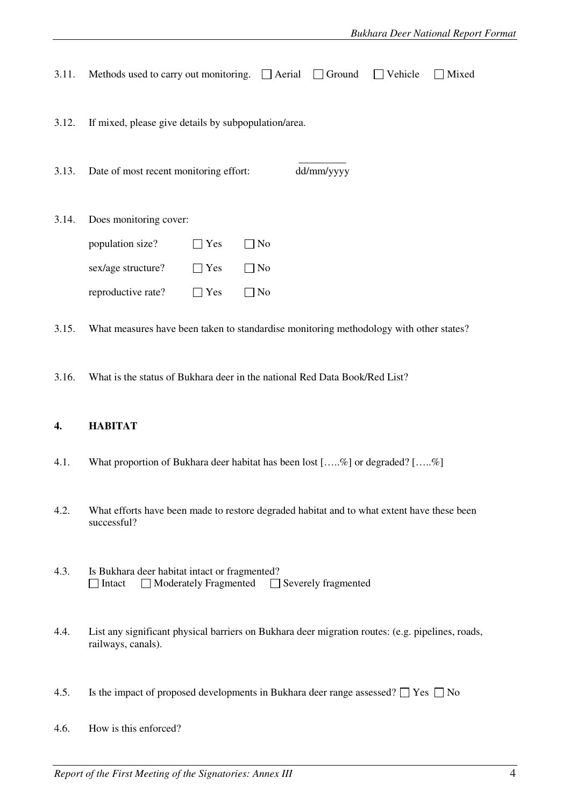| 3.11. | Methods used to carry out monitoring.                                                  |     | $\Box$ Aerial | Ground<br>$\mathbf{1}$ | Vehicle<br>$\mathbf{1}$ | Mixed |
|-------|----------------------------------------------------------------------------------------|-----|---------------|------------------------|-------------------------|-------|
| 3.12. | If mixed, please give details by subpopulation/area.                                   |     |               |                        |                         |       |
| 3.13. | Date of most recent monitoring effort:                                                 |     |               | dd/mm/yyyy             |                         |       |
| 3.14. | Does monitoring cover:                                                                 |     |               |                        |                         |       |
|       | population size?                                                                       | Yes | ] No          |                        |                         |       |
|       | sex/age structure?                                                                     | Yes | $\Box$ No     |                        |                         |       |
|       | reproductive rate?                                                                     | Yes | $\Box$ No     |                        |                         |       |
| 3.15. | What measures have been taken to standardise monitoring methodology with other states? |     |               |                        |                         |       |

3.16. What is the status of Bukhara deer in the national Red Data Book/Red List?

# **4. HABITAT**

- 4.1. What proportion of Bukhara deer habitat has been lost […..%] or degraded? […..%]
- 4.2. What efforts have been made to restore degraded habitat and to what extent have these been successful?
- 4.3. Is Bukhara deer habitat intact or fragmented?  $\Box$  Intact  $\Box$  Moderately Fragmented  $\Box$  Severely fragmented
- 4.4. List any significant physical barriers on Bukhara deer migration routes: (e.g. pipelines, roads, railways, canals).
- 4.5. Is the impact of proposed developments in Bukhara deer range assessed?  $\Box$  Yes  $\Box$  No
- 4.6. How is this enforced?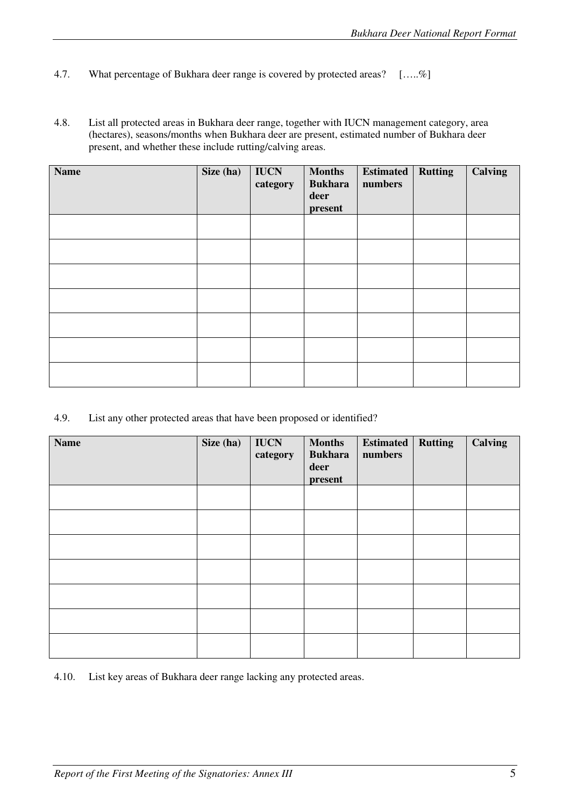- 4.7. What percentage of Bukhara deer range is covered by protected areas? [.....%]
- 4.8. List all protected areas in Bukhara deer range, together with IUCN management category, area (hectares), seasons/months when Bukhara deer are present, estimated number of Bukhara deer present, and whether these include rutting/calving areas.

| <b>Name</b> | Size (ha) | <b>IUCN</b><br>category | <b>Months</b><br><b>Bukhara</b><br>deer<br>present | <b>Estimated</b><br>numbers | <b>Rutting</b> | Calving |
|-------------|-----------|-------------------------|----------------------------------------------------|-----------------------------|----------------|---------|
|             |           |                         |                                                    |                             |                |         |
|             |           |                         |                                                    |                             |                |         |
|             |           |                         |                                                    |                             |                |         |
|             |           |                         |                                                    |                             |                |         |
|             |           |                         |                                                    |                             |                |         |
|             |           |                         |                                                    |                             |                |         |
|             |           |                         |                                                    |                             |                |         |

4.9. List any other protected areas that have been proposed or identified?

| <b>Name</b> | Size (ha) | <b>IUCN</b><br>category | <b>Months</b><br><b>Bukhara</b><br>deer<br>present | <b>Estimated</b><br>numbers | <b>Rutting</b> | <b>Calving</b> |
|-------------|-----------|-------------------------|----------------------------------------------------|-----------------------------|----------------|----------------|
|             |           |                         |                                                    |                             |                |                |
|             |           |                         |                                                    |                             |                |                |
|             |           |                         |                                                    |                             |                |                |
|             |           |                         |                                                    |                             |                |                |
|             |           |                         |                                                    |                             |                |                |
|             |           |                         |                                                    |                             |                |                |
|             |           |                         |                                                    |                             |                |                |

4.10. List key areas of Bukhara deer range lacking any protected areas.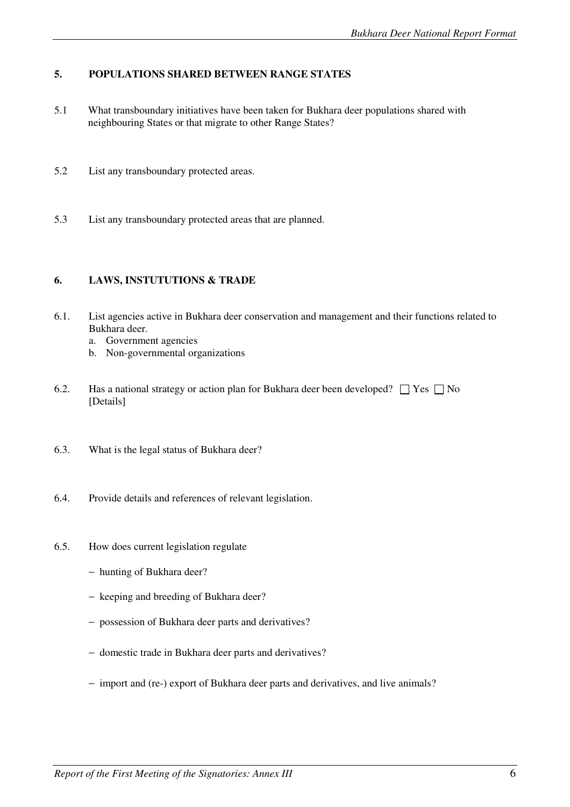## **5. POPULATIONS SHARED BETWEEN RANGE STATES**

- 5.1 What transboundary initiatives have been taken for Bukhara deer populations shared with neighbouring States or that migrate to other Range States?
- 5.2 List any transboundary protected areas.
- 5.3 List any transboundary protected areas that are planned.

#### **6. LAWS, INSTUTUTIONS & TRADE**

- 6.1. List agencies active in Bukhara deer conservation and management and their functions related to Bukhara deer.
	- a. Government agencies
	- b. Non-governmental organizations
- 6.2. Has a national strategy or action plan for Bukhara deer been developed?  $\Box$  Yes  $\Box$  No [Details]
- 6.3. What is the legal status of Bukhara deer?
- 6.4. Provide details and references of relevant legislation.
- 6.5. How does current legislation regulate
	- − hunting of Bukhara deer?
	- − keeping and breeding of Bukhara deer?
	- − possession of Bukhara deer parts and derivatives?
	- − domestic trade in Bukhara deer parts and derivatives?
	- − import and (re-) export of Bukhara deer parts and derivatives, and live animals?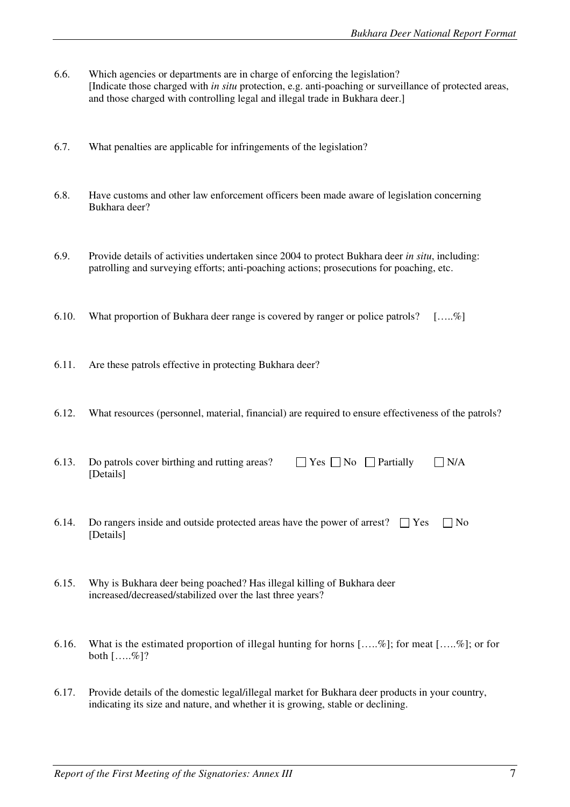- 6.6. Which agencies or departments are in charge of enforcing the legislation? [Indicate those charged with *in situ* protection, e.g. anti-poaching or surveillance of protected areas, and those charged with controlling legal and illegal trade in Bukhara deer.]
- 6.7. What penalties are applicable for infringements of the legislation?
- 6.8. Have customs and other law enforcement officers been made aware of legislation concerning Bukhara deer?
- 6.9. Provide details of activities undertaken since 2004 to protect Bukhara deer *in situ*, including: patrolling and surveying efforts; anti-poaching actions; prosecutions for poaching, etc.
- 6.10. What proportion of Bukhara deer range is covered by ranger or police patrols? […..%]
- 6.11. Are these patrols effective in protecting Bukhara deer?
- 6.12. What resources (personnel, material, financial) are required to ensure effectiveness of the patrols?

| 6.13. Do patrols cover birthing and rutting areas? | $\Box$ Yes $\Box$ No $\Box$ Partially $\Box$ N/A |  |
|----------------------------------------------------|--------------------------------------------------|--|
| [Details]                                          |                                                  |  |

- 6.14. Do rangers inside and outside protected areas have the power of arrest?  $\Box$  Yes  $\Box$  No [Details]
- 6.15. Why is Bukhara deer being poached? Has illegal killing of Bukhara deer increased/decreased/stabilized over the last three years?
- 6.16. What is the estimated proportion of illegal hunting for horns […..%]; for meat […..%]; or for both  $[\ldots, \mathcal{C}]$ ?
- 6.17. Provide details of the domestic legal/illegal market for Bukhara deer products in your country, indicating its size and nature, and whether it is growing, stable or declining.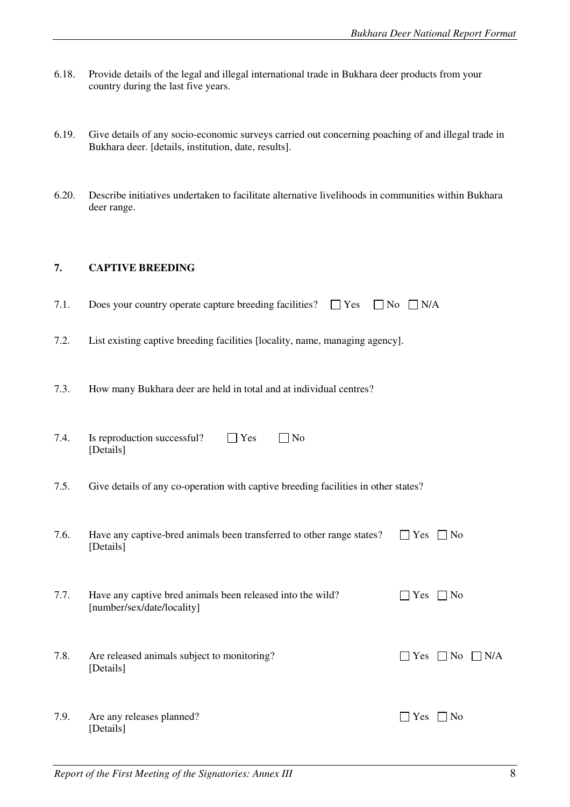- 6.18. Provide details of the legal and illegal international trade in Bukhara deer products from your country during the last five years.
- 6.19. Give details of any socio-economic surveys carried out concerning poaching of and illegal trade in Bukhara deer. [details, institution, date, results].
- 6.20. Describe initiatives undertaken to facilitate alternative livelihoods in communities within Bukhara deer range.

## **7. CAPTIVE BREEDING**

- 7.1. Does your country operate capture breeding facilities?  $\Box$  Yes  $\Box$  No  $\Box$  N/A
- 7.2. List existing captive breeding facilities [locality, name, managing agency].
- 7.3. How many Bukhara deer are held in total and at individual centres?

| 7.4. | Is reproduction successful?<br>N <sub>o</sub><br>Yes<br>[Details]                        |            |                   |     |
|------|------------------------------------------------------------------------------------------|------------|-------------------|-----|
| 7.5. | Give details of any co-operation with captive breeding facilities in other states?       |            |                   |     |
| 7.6. | Have any captive-bred animals been transferred to other range states?<br>[Details]       | $\Box$ Yes | $\blacksquare$ No |     |
| 7.7. | Have any captive bred animals been released into the wild?<br>[number/sex/date/locality] | <b>Yes</b> | $ $ No            |     |
| 7.8. | Are released animals subject to monitoring?<br>[Details]                                 | Yes        | $\vert$   No      | N/A |

7.9. Are any releases planned?  $\Box$  Yes  $\Box$  No [Details]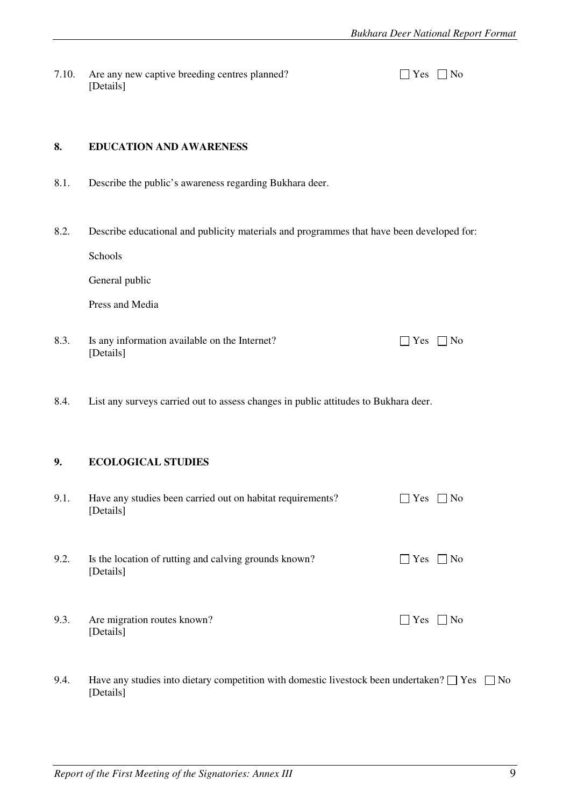7.10. Are any new captive breeding centres planned? [ [Details]

| . | ง∩ |
|---|----|
|---|----|

#### **8. EDUCATION AND AWARENESS**

- 8.1. Describe the public's awareness regarding Bukhara deer.
- 8.2. Describe educational and publicity materials and programmes that have been developed for:

Schools

General public

Press and Media

- 8.3. Is any information available on the Internet?  $\Box$  Yes  $\Box$  No [Details]
- 8.4. List any surveys carried out to assess changes in public attitudes to Bukhara deer.

#### **9. ECOLOGICAL STUDIES**

| 9.1. | Have any studies been carried out on habitat requirements?<br>[Details] | $\overline{N_0}$<br>l lYes            |
|------|-------------------------------------------------------------------------|---------------------------------------|
| 9.2. | Is the location of rutting and calving grounds known?<br>[Details]      | $\vert$ Yes<br>$\overline{N_{0}}$     |
| 9.3. | Are migration routes known?<br>[Details]                                | $\mathbf{1}$ $\mathbf{Yes}$<br>- I No |

9.4. Have any studies into dietary competition with domestic livestock been undertaken?  $\Box$  Yes  $\Box$  No [Details]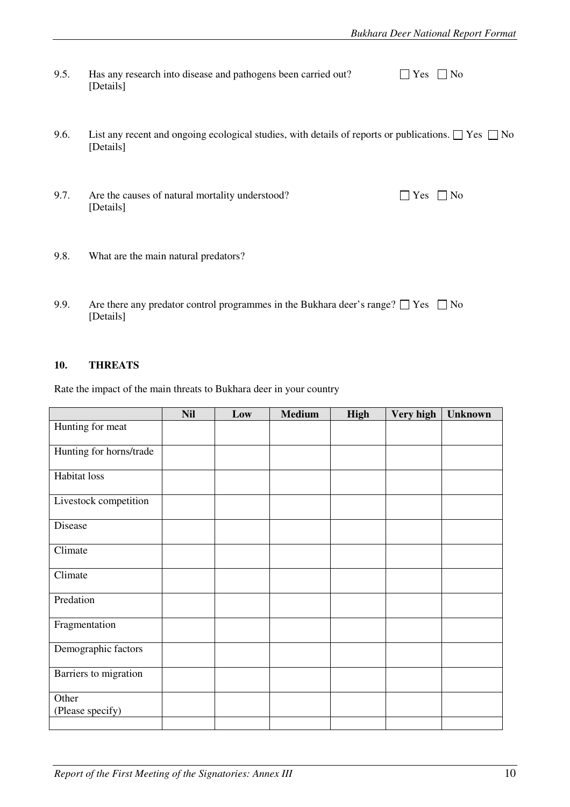| 9.5. | Has any research into disease and pathogens been carried out? | $\Box$ Yes $\Box$ No |  |
|------|---------------------------------------------------------------|----------------------|--|
|      | [Details]                                                     |                      |  |

- 9.6. List any recent and ongoing ecological studies, with details of reports or publications.  $\Box$  Yes  $\Box$  No [Details]
- 9.7. Are the causes of natural mortality understood?  $\Box$  Yes  $\Box$  No [Details]
- 

- 9.8. What are the main natural predators?
- 9.9. Are there any predator control programmes in the Bukhara deer's range?  $\Box$  Yes  $\Box$  No [Details]

#### **10. THREATS**

Rate the impact of the main threats to Bukhara deer in your country

|                           | <b>Nil</b> | Low | <b>Medium</b> | <b>High</b> | Very high | <b>Unknown</b> |
|---------------------------|------------|-----|---------------|-------------|-----------|----------------|
| Hunting for meat          |            |     |               |             |           |                |
| Hunting for horns/trade   |            |     |               |             |           |                |
| Habitat loss              |            |     |               |             |           |                |
| Livestock competition     |            |     |               |             |           |                |
| Disease                   |            |     |               |             |           |                |
| Climate                   |            |     |               |             |           |                |
| Climate                   |            |     |               |             |           |                |
| Predation                 |            |     |               |             |           |                |
| Fragmentation             |            |     |               |             |           |                |
| Demographic factors       |            |     |               |             |           |                |
| Barriers to migration     |            |     |               |             |           |                |
| Other<br>(Please specify) |            |     |               |             |           |                |
|                           |            |     |               |             |           |                |